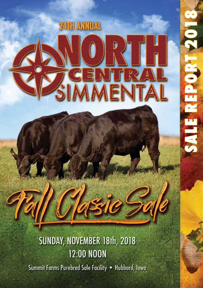

 $\frac{1}{\Gamma}$ 

**CLETTA** 

# SUNDAY, NOVEMBER 18th, 2018 **12:00 NOON**

Summit Farms Purebred Sale Facility . Hubbard, Iowa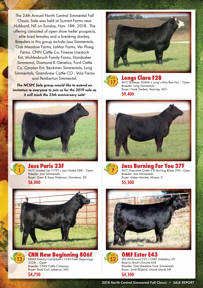The 24th Annual North Central Simmental Fall Classic Sale was held at Summit Farms near Hubbard, NE on Sunday, Nov. 18th, 2018. The offering consisted of open show heifer prospects, elite bred females and a breaking donkey. Breeders in this group include Jass Simmentals, Oak Meadow Farms, LaMar Farms, Ver Ploeg Farms, CNN Cattle Co, Finesse Livestock Ent, Muhlenbruch Family Farms, Handsaker Simmental, Diamond K Genetics, Ford Cattle Co, Carolan Ent, Beckman Simmentals, Long Simmentals, Grandview Cattle CO , Volz Farms and Pemberton Simmental.

**The NCSFC Sale group would like to extend an invitation to everyone to join us for the 2019 sale as it will mark the 25th anniversary sale!**





**LOT 13**

### Jass Paris 23F

W/C Loaded Up 1119Y x Jass United 06B – Open Breeder: Jass Simmentals Buyer: Drew & Tessa Pederson, Garretson, SD **\$6,000**









## Longs Clara F28

W/C Bullseye 3046A x Long's Miss Red Hot – Open Breeder: Long Simmentals Buyer: Frank Stedem, Kearney, MO **\$9,400**





Jass Burning For You 37F W/C Executive Order x JS Burning Blaze 29U - Open Breeder: Jass Simmentals Buyer: Deken Kemme, Mason, IL **\$5,500**





OMF Ester E43 WS All-Around Z35 x OMF Umbelina U9 Bred to Hook's Encore 65E Breeder: Oak Meadow Farm Simmentals Buyer: Scott Bilslend, Grand Island, NE **\$4,500**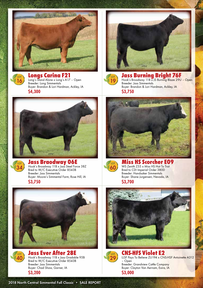



Longs Carina F21 Long's Stand Alone x Long's A17 – Open

Breeder: Long Simmentals Buyer: Brandon & Lori Hardman, Ackley, IA **\$4,300**





# Jass Braodway 06E<br>Hook's Broadway 11B x Jass Steel Force 38Z

Bred to W/C Executive Order 8543B Breeder: Jass Simmentals Buyer: Moore's Simmental Farm, Rose Hill, IA **\$3,750**





Jass Ever After 28E Hook's Broadway 11B x Jass Gradable 95B Bred to W/C Executive Order 8543B Breeder: Jass Simmentals Buyer: Chad Shaw, Garner, IA **\$3,200**



#### Jass Burning Bright 76F Hook's Broadway 11B x JS Burning Blaze 29U – Open Breeder: Jass Simmentals Buyer: Brandon & Lori Hardman, Ackley, IA

**\$3,750**





#### ss HS Scorcher E09 WS Zenith Z55 x Miss HS Hot To Trot

Bred to CDI Imperial Order 380D Breeder: Handsaker Simmentals Buyer: Shane Jurgensen, Nevada, IA **\$3,700**





CNS-HFS Violet E2 LLSF Pays To Believe ZU194 x CNS-HSF Antoinette A312 – Open Breeder: Grandview Cattle Company Buyer: Clayton Van Aernam, Exira, IA **\$3,000**